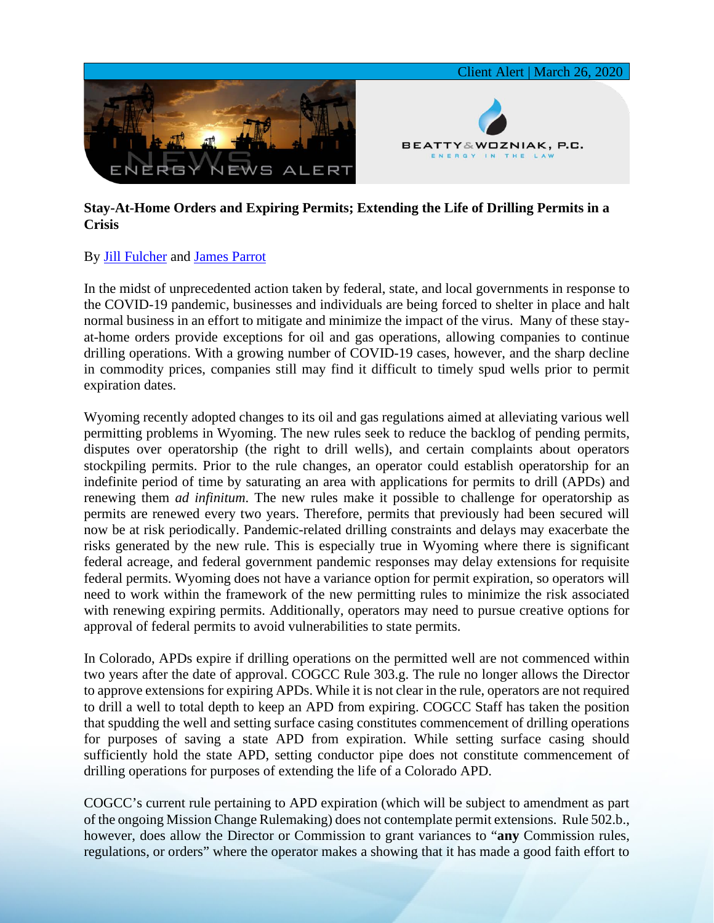

## **Stay-At-Home Orders and Expiring Permits; Extending the Life of Drilling Permits in a Crisis**

## By [Jill Fulcher](https://www.bwenergylaw.com/jill-fulcher) and [James Parrot](https://www.bwenergylaw.com/james-parrot)

In the midst of unprecedented action taken by federal, state, and local governments in response to the COVID-19 pandemic, businesses and individuals are being forced to shelter in place and halt normal business in an effort to mitigate and minimize the impact of the virus. Many of these stayat-home orders provide exceptions for oil and gas operations, allowing companies to continue drilling operations. With a growing number of COVID-19 cases, however, and the sharp decline in commodity prices, companies still may find it difficult to timely spud wells prior to permit expiration dates.

Wyoming recently adopted changes to its oil and gas regulations aimed at alleviating various well permitting problems in Wyoming. The new rules seek to reduce the backlog of pending permits, disputes over operatorship (the right to drill wells), and certain complaints about operators stockpiling permits. Prior to the rule changes, an operator could establish operatorship for an indefinite period of time by saturating an area with applications for permits to drill (APDs) and renewing them *ad infinitum*. The new rules make it possible to challenge for operatorship as permits are renewed every two years. Therefore, permits that previously had been secured will now be at risk periodically. Pandemic-related drilling constraints and delays may exacerbate the risks generated by the new rule. This is especially true in Wyoming where there is significant federal acreage, and federal government pandemic responses may delay extensions for requisite federal permits. Wyoming does not have a variance option for permit expiration, so operators will need to work within the framework of the new permitting rules to minimize the risk associated with renewing expiring permits. Additionally, operators may need to pursue creative options for approval of federal permits to avoid vulnerabilities to state permits.

In Colorado, APDs expire if drilling operations on the permitted well are not commenced within two years after the date of approval. COGCC Rule 303.g. The rule no longer allows the Director to approve extensions for expiring APDs. While it is not clear in the rule, operators are not required to drill a well to total depth to keep an APD from expiring. COGCC Staff has taken the position that spudding the well and setting surface casing constitutes commencement of drilling operations for purposes of saving a state APD from expiration. While setting surface casing should sufficiently hold the state APD, setting conductor pipe does not constitute commencement of drilling operations for purposes of extending the life of a Colorado APD.

COGCC's current rule pertaining to APD expiration (which will be subject to amendment as part of the ongoing Mission Change Rulemaking) does not contemplate permit extensions. Rule 502.b., however, does allow the Director or Commission to grant variances to "**any** Commission rules, regulations, or orders" where the operator makes a showing that it has made a good faith effort to